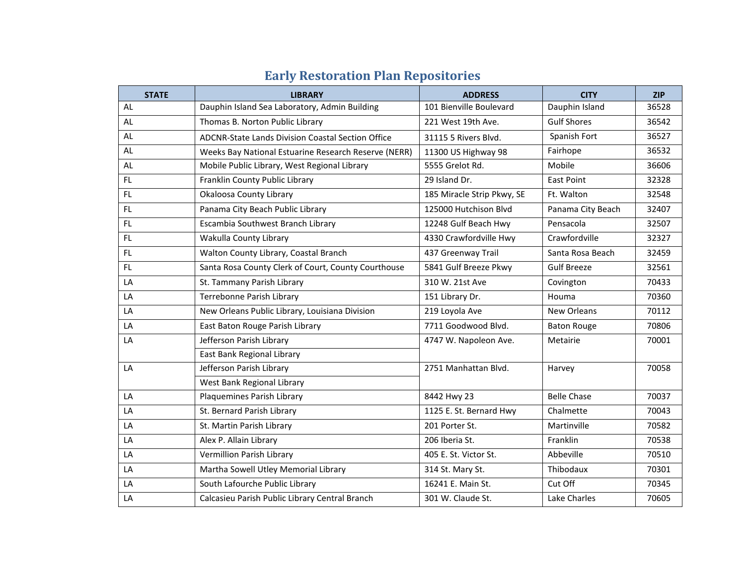| <b>STATE</b> | <b>LIBRARY</b>                                       | <b>ADDRESS</b>             | <b>CITY</b>        | <b>ZIP</b> |
|--------------|------------------------------------------------------|----------------------------|--------------------|------------|
| AL           | Dauphin Island Sea Laboratory, Admin Building        | 101 Bienville Boulevard    | Dauphin Island     | 36528      |
| AL           | Thomas B. Norton Public Library                      | 221 West 19th Ave.         | <b>Gulf Shores</b> | 36542      |
| AL           | ADCNR-State Lands Division Coastal Section Office    | 31115 5 Rivers Blvd.       | Spanish Fort       | 36527      |
| AL           | Weeks Bay National Estuarine Research Reserve (NERR) | 11300 US Highway 98        | Fairhope           | 36532      |
| AL           | Mobile Public Library, West Regional Library         | 5555 Grelot Rd.            | Mobile             | 36606      |
| <b>FL</b>    | Franklin County Public Library                       | 29 Island Dr.              | <b>East Point</b>  | 32328      |
| FL.          | Okaloosa County Library                              | 185 Miracle Strip Pkwy, SE | Ft. Walton         | 32548      |
| FL.          | Panama City Beach Public Library                     | 125000 Hutchison Blvd      | Panama City Beach  | 32407      |
| FL.          | Escambia Southwest Branch Library                    | 12248 Gulf Beach Hwy       | Pensacola          | 32507      |
| FL.          | Wakulla County Library                               | 4330 Crawfordville Hwy     | Crawfordville      | 32327      |
| FL.          | Walton County Library, Coastal Branch                | 437 Greenway Trail         | Santa Rosa Beach   | 32459      |
| <b>FL</b>    | Santa Rosa County Clerk of Court, County Courthouse  | 5841 Gulf Breeze Pkwy      | <b>Gulf Breeze</b> | 32561      |
| LA           | St. Tammany Parish Library                           | 310 W. 21st Ave            | Covington          | 70433      |
| LA           | Terrebonne Parish Library                            | 151 Library Dr.            | Houma              | 70360      |
| LA           | New Orleans Public Library, Louisiana Division       | 219 Loyola Ave             | New Orleans        | 70112      |
| LA           | East Baton Rouge Parish Library                      | 7711 Goodwood Blvd.        | <b>Baton Rouge</b> | 70806      |
| LA           | Jefferson Parish Library                             | 4747 W. Napoleon Ave.      | Metairie           | 70001      |
|              | East Bank Regional Library                           |                            |                    |            |
| LA           | Jefferson Parish Library                             | 2751 Manhattan Blvd.       | Harvey             | 70058      |
|              | West Bank Regional Library                           |                            |                    |            |
| LA           | Plaquemines Parish Library                           | 8442 Hwy 23                | <b>Belle Chase</b> | 70037      |
| LA           | St. Bernard Parish Library                           | 1125 E. St. Bernard Hwy    | Chalmette          | 70043      |
| LA           | St. Martin Parish Library                            | 201 Porter St.             | Martinville        | 70582      |
| LA           | Alex P. Allain Library                               | 206 Iberia St.             | Franklin           | 70538      |
| LA           | Vermillion Parish Library                            | 405 E. St. Victor St.      | Abbeville          | 70510      |
| LA           | Martha Sowell Utley Memorial Library                 | 314 St. Mary St.           | Thibodaux          | 70301      |
| LA           | South Lafourche Public Library                       | 16241 E. Main St.          | Cut Off            | 70345      |
| LA           | Calcasieu Parish Public Library Central Branch       | 301 W. Claude St.          | Lake Charles       | 70605      |

## **Early Restoration Plan Repositories**